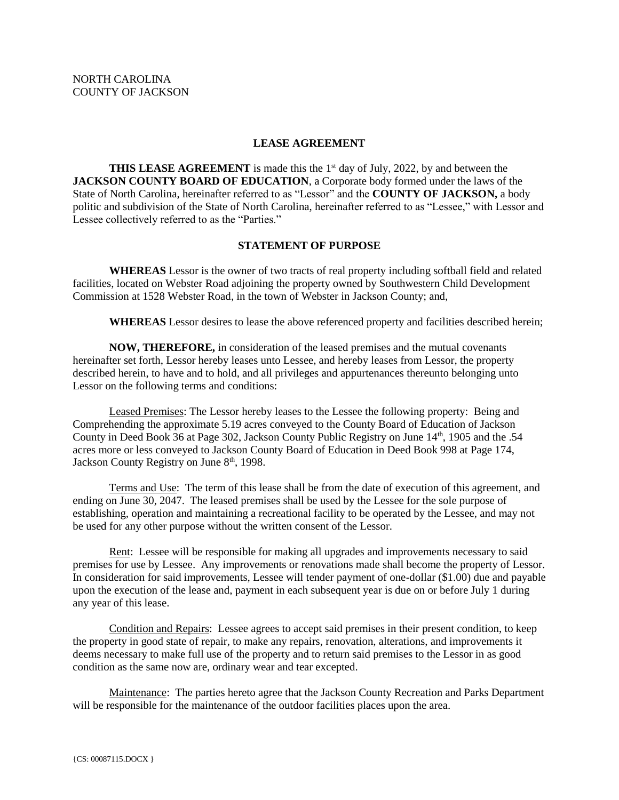### **LEASE AGREEMENT**

**THIS LEASE AGREEMENT** is made this the 1<sup>st</sup> day of July, 2022, by and between the **JACKSON COUNTY BOARD OF EDUCATION**, a Corporate body formed under the laws of the State of North Carolina, hereinafter referred to as "Lessor" and the **COUNTY OF JACKSON,** a body politic and subdivision of the State of North Carolina, hereinafter referred to as "Lessee," with Lessor and Lessee collectively referred to as the "Parties."

### **STATEMENT OF PURPOSE**

**WHEREAS** Lessor is the owner of two tracts of real property including softball field and related facilities, located on Webster Road adjoining the property owned by Southwestern Child Development Commission at 1528 Webster Road, in the town of Webster in Jackson County; and,

**WHEREAS** Lessor desires to lease the above referenced property and facilities described herein;

**NOW, THEREFORE,** in consideration of the leased premises and the mutual covenants hereinafter set forth, Lessor hereby leases unto Lessee, and hereby leases from Lessor, the property described herein, to have and to hold, and all privileges and appurtenances thereunto belonging unto Lessor on the following terms and conditions:

Leased Premises: The Lessor hereby leases to the Lessee the following property: Being and Comprehending the approximate 5.19 acres conveyed to the County Board of Education of Jackson County in Deed Book 36 at Page 302, Jackson County Public Registry on June 14<sup>th</sup>, 1905 and the .54 acres more or less conveyed to Jackson County Board of Education in Deed Book 998 at Page 174, Jackson County Registry on June 8<sup>th</sup>, 1998.

Terms and Use: The term of this lease shall be from the date of execution of this agreement, and ending on June 30, 2047. The leased premises shall be used by the Lessee for the sole purpose of establishing, operation and maintaining a recreational facility to be operated by the Lessee, and may not be used for any other purpose without the written consent of the Lessor.

Rent: Lessee will be responsible for making all upgrades and improvements necessary to said premises for use by Lessee. Any improvements or renovations made shall become the property of Lessor. In consideration for said improvements, Lessee will tender payment of one-dollar (\$1.00) due and payable upon the execution of the lease and, payment in each subsequent year is due on or before July 1 during any year of this lease.

Condition and Repairs: Lessee agrees to accept said premises in their present condition, to keep the property in good state of repair, to make any repairs, renovation, alterations, and improvements it deems necessary to make full use of the property and to return said premises to the Lessor in as good condition as the same now are, ordinary wear and tear excepted.

Maintenance: The parties hereto agree that the Jackson County Recreation and Parks Department will be responsible for the maintenance of the outdoor facilities places upon the area.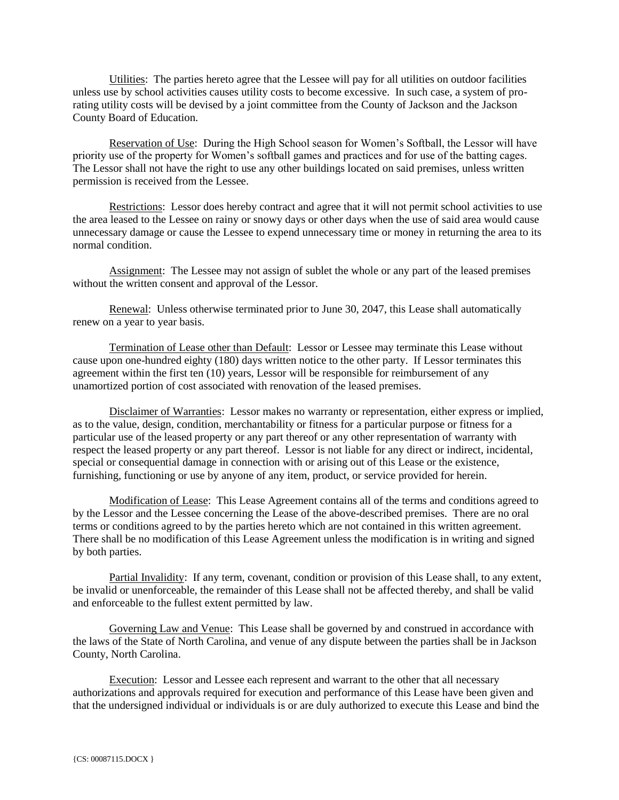Utilities: The parties hereto agree that the Lessee will pay for all utilities on outdoor facilities unless use by school activities causes utility costs to become excessive. In such case, a system of prorating utility costs will be devised by a joint committee from the County of Jackson and the Jackson County Board of Education.

Reservation of Use: During the High School season for Women's Softball, the Lessor will have priority use of the property for Women's softball games and practices and for use of the batting cages. The Lessor shall not have the right to use any other buildings located on said premises, unless written permission is received from the Lessee.

Restrictions: Lessor does hereby contract and agree that it will not permit school activities to use the area leased to the Lessee on rainy or snowy days or other days when the use of said area would cause unnecessary damage or cause the Lessee to expend unnecessary time or money in returning the area to its normal condition.

Assignment: The Lessee may not assign of sublet the whole or any part of the leased premises without the written consent and approval of the Lessor.

Renewal: Unless otherwise terminated prior to June 30, 2047, this Lease shall automatically renew on a year to year basis.

Termination of Lease other than Default: Lessor or Lessee may terminate this Lease without cause upon one-hundred eighty (180) days written notice to the other party. If Lessor terminates this agreement within the first ten (10) years, Lessor will be responsible for reimbursement of any unamortized portion of cost associated with renovation of the leased premises.

Disclaimer of Warranties: Lessor makes no warranty or representation, either express or implied, as to the value, design, condition, merchantability or fitness for a particular purpose or fitness for a particular use of the leased property or any part thereof or any other representation of warranty with respect the leased property or any part thereof. Lessor is not liable for any direct or indirect, incidental, special or consequential damage in connection with or arising out of this Lease or the existence, furnishing, functioning or use by anyone of any item, product, or service provided for herein.

Modification of Lease: This Lease Agreement contains all of the terms and conditions agreed to by the Lessor and the Lessee concerning the Lease of the above-described premises. There are no oral terms or conditions agreed to by the parties hereto which are not contained in this written agreement. There shall be no modification of this Lease Agreement unless the modification is in writing and signed by both parties.

Partial Invalidity: If any term, covenant, condition or provision of this Lease shall, to any extent, be invalid or unenforceable, the remainder of this Lease shall not be affected thereby, and shall be valid and enforceable to the fullest extent permitted by law.

Governing Law and Venue: This Lease shall be governed by and construed in accordance with the laws of the State of North Carolina, and venue of any dispute between the parties shall be in Jackson County, North Carolina.

Execution: Lessor and Lessee each represent and warrant to the other that all necessary authorizations and approvals required for execution and performance of this Lease have been given and that the undersigned individual or individuals is or are duly authorized to execute this Lease and bind the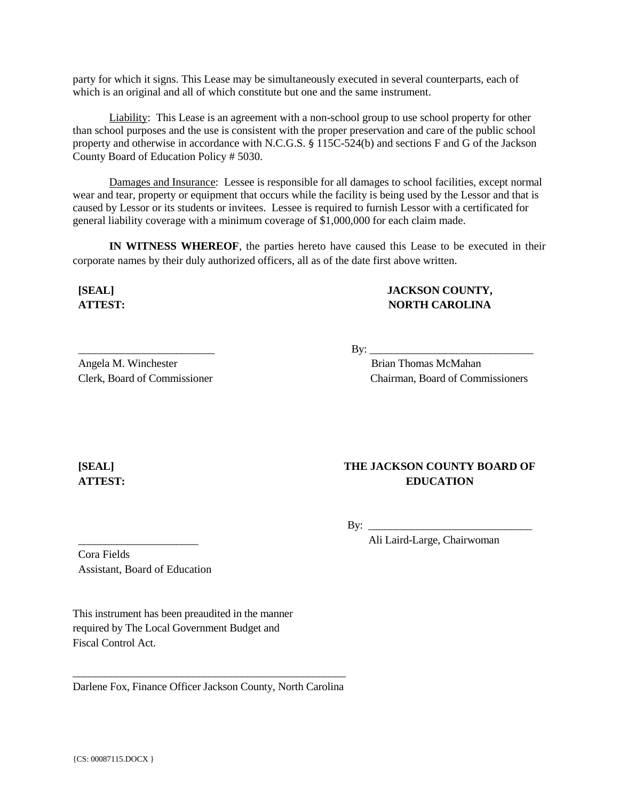party for which it signs. This Lease may be simultaneously executed in several counterparts, each of which is an original and all of which constitute but one and the same instrument.

Liability: This Lease is an agreement with a non-school group to use school property for other than school purposes and the use is consistent with the proper preservation and care of the public school property and otherwise in accordance with N.C.G.S. § 115C-524(b) and sections F and G of the Jackson County Board of Education Policy # 5030.

Damages and Insurance: Lessee is responsible for all damages to school facilities, except normal wear and tear, property or equipment that occurs while the facility is being used by the Lessor and that is caused by Lessor or its students or invitees. Lessee is required to furnish Lessor with a certificated for general liability coverage with a minimum coverage of \$1,000,000 for each claim made.

**IN WITNESS WHEREOF**, the parties hereto have caused this Lease to be executed in their corporate names by their duly authorized officers, all as of the date first above written.

**[SEAL] ATTEST:** **JACKSON COUNTY, NORTH CAROLINA**

 $\mathbf{B} \mathbf{v}$ :

 Brian Thomas McMahan Chairman, Board of Commissioners

# **[SEAL] ATTEST:**

## **THE JACKSON COUNTY BOARD OF EDUCATION**

 $\mathbf{B} \mathbf{v}$ :

Ali Laird-Large, Chairwoman

Cora Fields Assistant, Board of Education

\_\_\_\_\_\_\_\_\_\_\_\_\_\_\_\_\_\_\_\_\_\_

\_\_\_\_\_\_\_\_\_\_\_\_\_\_\_\_\_\_\_\_\_\_\_\_\_

Clerk, Board of Commissioner

Angela M. Winchester

This instrument has been preaudited in the manner required by The Local Government Budget and Fiscal Control Act.

\_\_\_\_\_\_\_\_\_\_\_\_\_\_\_\_\_\_\_\_\_\_\_\_\_\_\_\_\_\_\_\_\_\_\_\_\_\_\_\_\_\_\_\_\_\_\_\_\_\_ Darlene Fox, Finance Officer Jackson County, North Carolina